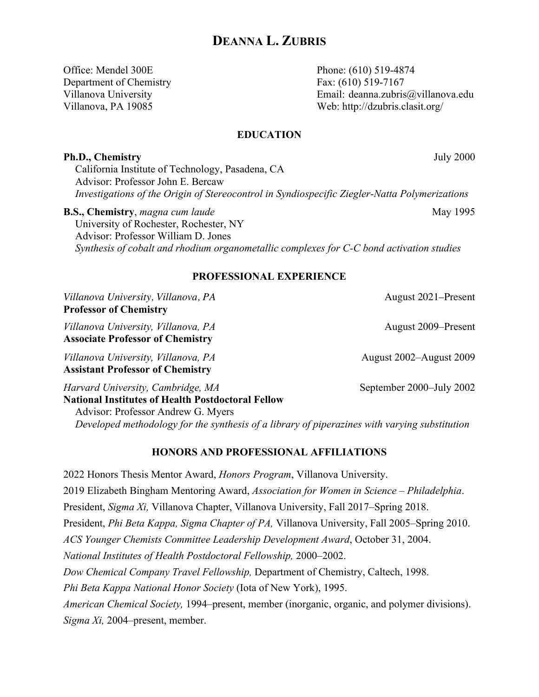Office: Mendel 300E Phone: (610) 519-4874 Department of Chemistry Fax: (610) 519-7167

Villanova University Email: deanna.zubris@villanova.edu Villanova, PA 19085 Web: http://dzubris.clasit.org/

### **EDUCATION**

#### **Ph.D., Chemistry** July 2000

California Institute of Technology, Pasadena, CA Advisor: Professor John E. Bercaw *Investigations of the Origin of Stereocontrol in Syndiospecific Ziegler-Natta Polymerizations*

**B.S., Chemistry**, *magna cum laude* May 1995 University of Rochester, Rochester, NY Advisor: Professor William D. Jones *Synthesis of cobalt and rhodium organometallic complexes for C-C bond activation studies*

### **PROFESSIONAL EXPERIENCE**

*Villanova University, Villanova, PA* August 2021–Present **Professor of Chemistry** *Villanova University, Villanova, PA* August 2009–Present **Associate Professor of Chemistry** *Villanova University, Villanova, PA* August 2002–August 2009 **Assistant Professor of Chemistry** *Harvard University, Cambridge, MA* September 2000–July 2002 **National Institutes of Health Postdoctoral Fellow** Advisor: Professor Andrew G. Myers

*Developed methodology for the synthesis of a library of piperazines with varying substitution* 

## **HONORS AND PROFESSIONAL AFFILIATIONS**

2022 Honors Thesis Mentor Award, *Honors Program*, Villanova University. 2019 Elizabeth Bingham Mentoring Award, *Association for Women in Science – Philadelphia*. President, *Sigma Xi,* Villanova Chapter, Villanova University, Fall 2017–Spring 2018. President, *Phi Beta Kappa, Sigma Chapter of PA,* Villanova University, Fall 2005–Spring 2010. *ACS Younger Chemists Committee Leadership Development Award*, October 31, 2004. *National Institutes of Health Postdoctoral Fellowship,* 2000–2002. *Dow Chemical Company Travel Fellowship,* Department of Chemistry, Caltech, 1998. *Phi Beta Kappa National Honor Society* (Iota of New York), 1995. *American Chemical Society,* 1994–present, member (inorganic, organic, and polymer divisions). *Sigma Xi,* 2004–present, member.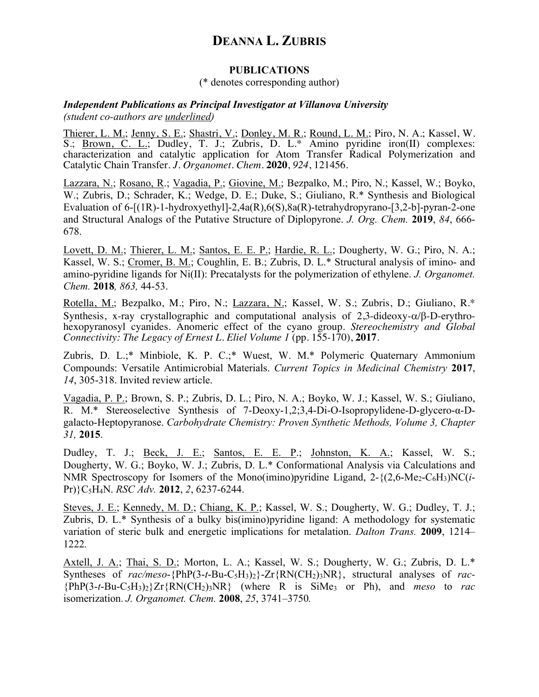#### **PUBLICATIONS**

### (\* denotes corresponding author)

#### *Independent Publications as Principal Investigator at Villanova University (student co-authors are underlined)*

Thierer, L. M.; Jenny, S. E.; Shastri, V.; Donley, M. R.; Round, L. M.; Piro, N. A.; Kassel, W. S.; <u>Brown, C. L.</u>; Dudley, T. J.; Zubris, D. L.\* Amino pyridine iron(II) complexes: characterization and catalytic application for Atom Transfer Radical Polymerization and Catalytic Chain Transfer. *J. Organomet. Chem.* **2020**, *924*, 121456.

Lazzara, N.; Rosano, R.; Vagadia, P.; Giovine, M.; Bezpalko, M.; Piro, N.; Kassel, W.; Boyko, W.; Zubris, D.; Schrader, K.; Wedge, D. E.; Duke, S.; Giuliano, R.\* Synthesis and Biological Evaluation of 6-[(1R)-1-hydroxyethyl]-2,4a(R),6(S),8a(R)-tetrahydropyrano-[3,2-b]-pyran-2-one and Structural Analogs of the Putative Structure of Diplopyrone. *J. Org. Chem.* **2019**, *84*, 666- 678.

Lovett, D. M.; Thierer, L. M.; Santos, E. E. P.; Hardie, R. L.; Dougherty, W. G.; Piro, N. A.; Kassel, W. S.; Cromer, B. M.; Coughlin, E. B.; Zubris, D. L.\* Structural analysis of imino- and amino-pyridine ligands for Ni(II): Precatalysts for the polymerization of ethylene. *J. Organomet. Chem.* **2018***, 863,* 44-53.

Rotella, M.; Bezpalko, M.; Piro, N.; Lazzara, N.; Kassel, W. S.; Zubris, D.; Giuliano, R.\* Synthesis, x-ray crystallographic and computational analysis of  $2,3$ -dideoxy- $\alpha/\beta$ -D-erythrohexopyranosyl cyanides. Anomeric effect of the cyano group. *Stereochemistry and Global Connectivity: The Legacy of Ernest L. Eliel Volume 1* (pp. 155-170), **2017**.

Zubris, D. L.;\* Minbiole, K. P. C.;\* Wuest, W. M.\* Polymeric Quaternary Ammonium Compounds: Versatile Antimicrobial Materials. *Current Topics in Medicinal Chemistry* **2017**, *14*, 305-318. Invited review article.

Vagadia, P. P.; Brown, S. P.; Zubris, D. L.; Piro, N. A.; Boyko, W. J.; Kassel, W. S.; Giuliano, R. M.\* Stereoselective Synthesis of 7-Deoxy-1,2;3,4-Di-O-Isopropylidene-D-glycero-α-Dgalacto-Heptopyranose. *Carbohydrate Chemistry: Proven Synthetic Methods, Volume 3, Chapter 31,* **2015**.

Dudley, T. J.; <u>Beck, J. E.; Santos, E. E. P.; Johnston, K. A.;</u> Kassel, W. S.; Dougherty, W. G.; Boyko, W. J.; Zubris, D. L.\* Conformational Analysis via Calculations and NMR Spectroscopy for Isomers of the Mono(imino)pyridine Ligand,  $2-\{(2.6-Me_2-C_6H_3)NC(i-$ Pr)}C5H4N. *RSC Adv.* **2012**, *2*, 6237-6244.

Steves, J. E.; Kennedy, M. D.; Chiang, K. P.; Kassel, W. S.; Dougherty, W. G.; Dudley, T. J.; Zubris, D. L.\* Synthesis of a bulky bis(imino)pyridine ligand: A methodology for systematic variation of steric bulk and energetic implications for metalation. *Dalton Trans.* **2009**, 1214– 1222*.*

Axtell, J. A.; Thai, S. D.; Morton, L. A.; Kassel, W. S.; Dougherty, W. G.; Zubris, D. L.\* Syntheses of *rac/meso*-{PhP(3-*t*-Bu-C5H3)2}-Zr{RN(CH2)3NR}, structural analyses of *rac-*  ${PhP(3-t-Bu-C<sub>5</sub>H<sub>3</sub>)<sub>2</sub>}Zr{RN(CH<sub>2</sub>)<sub>3</sub>NR}$  (where R is SiMe<sub>3</sub> or Ph), and *meso* to *rac* isomerization. *J. Organomet. Chem.* **2008**, *25*, 3741–3750*.*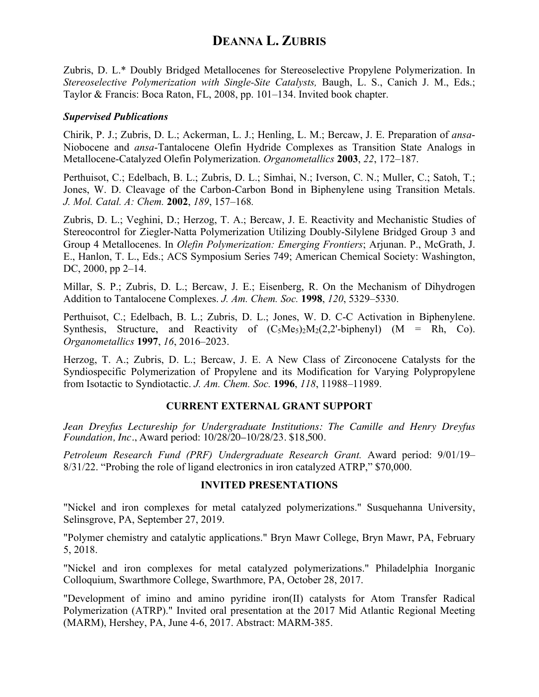Zubris, D. L.\* Doubly Bridged Metallocenes for Stereoselective Propylene Polymerization. In *Stereoselective Polymerization with Single-Site Catalysts,* Baugh, L. S., Canich J. M., Eds.; Taylor & Francis: Boca Raton, FL, 2008, pp. 101–134. Invited book chapter.

### *Supervised Publications*

Chirik, P. J.; Zubris, D. L.; Ackerman, L. J.; Henling, L. M.; Bercaw, J. E. Preparation of *ansa*-Niobocene and *ansa*-Tantalocene Olefin Hydride Complexes as Transition State Analogs in Metallocene-Catalyzed Olefin Polymerization. *Organometallics* **2003**, *22*, 172–187.

Perthuisot, C.; Edelbach, B. L.; Zubris, D. L.; Simhai, N.; Iverson, C. N.; Muller, C.; Satoh, T.; Jones, W. D. Cleavage of the Carbon-Carbon Bond in Biphenylene using Transition Metals. *J. Mol. Catal. A: Chem.* **2002**, *189*, 157–168*.*

Zubris, D. L.; Veghini, D.; Herzog, T. A.; Bercaw, J. E. Reactivity and Mechanistic Studies of Stereocontrol for Ziegler-Natta Polymerization Utilizing Doubly-Silylene Bridged Group 3 and Group 4 Metallocenes. In *Olefin Polymerization: Emerging Frontiers*; Arjunan. P., McGrath, J. E., Hanlon, T. L., Eds.; ACS Symposium Series 749; American Chemical Society: Washington, DC, 2000, pp 2–14.

Millar, S. P.; Zubris, D. L.; Bercaw, J. E.; Eisenberg, R. On the Mechanism of Dihydrogen Addition to Tantalocene Complexes. *J. Am. Chem. Soc.* **1998**, *120*, 5329–5330.

Perthuisot, C.; Edelbach, B. L.; Zubris, D. L.; Jones, W. D. C-C Activation in Biphenylene. Synthesis, Structure, and Reactivity of  $(C_5Me_5)_2M_2(2,2'-bipheny)$  (M = Rh, Co). *Organometallics* **1997**, *16*, 2016–2023.

Herzog, T. A.; Zubris, D. L.; Bercaw, J. E. A New Class of Zirconocene Catalysts for the Syndiospecific Polymerization of Propylene and its Modification for Varying Polypropylene from Isotactic to Syndiotactic. *J. Am. Chem. Soc.* **1996**, *118*, 11988–11989.

## **CURRENT EXTERNAL GRANT SUPPORT**

*Jean Dreyfus Lectureship for Undergraduate Institutions: The Camille and Henry Dreyfus Foundation, Inc*., Award period: 10/28/20–10/28/23. \$18,500.

*Petroleum Research Fund (PRF) Undergraduate Research Grant.* Award period: 9/01/19– 8/31/22. "Probing the role of ligand electronics in iron catalyzed ATRP," \$70,000.

### **INVITED PRESENTATIONS**

"Nickel and iron complexes for metal catalyzed polymerizations." Susquehanna University, Selinsgrove, PA, September 27, 2019.

"Polymer chemistry and catalytic applications." Bryn Mawr College, Bryn Mawr, PA, February 5, 2018.

"Nickel and iron complexes for metal catalyzed polymerizations." Philadelphia Inorganic Colloquium, Swarthmore College, Swarthmore, PA, October 28, 2017.

"Development of imino and amino pyridine iron(II) catalysts for Atom Transfer Radical Polymerization (ATRP)." Invited oral presentation at the 2017 Mid Atlantic Regional Meeting (MARM), Hershey, PA, June 4-6, 2017. Abstract: MARM-385.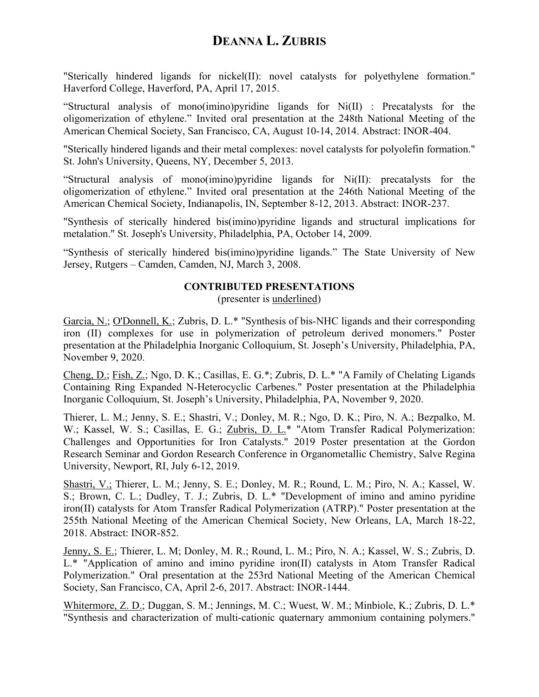"Sterically hindered ligands for nickel(II): novel catalysts for polyethylene formation." Haverford College, Haverford, PA, April 17, 2015.

"Structural analysis of mono(imino)pyridine ligands for Ni(II) : Precatalysts for the oligomerization of ethylene." Invited oral presentation at the 248th National Meeting of the American Chemical Society, San Francisco, CA, August 10-14, 2014. Abstract: INOR-404.

"Sterically hindered ligands and their metal complexes: novel catalysts for polyolefin formation." St. John's University, Queens, NY, December 5, 2013.

"Structural analysis of mono(imino)pyridine ligands for Ni(II): precatalysts for the oligomerization of ethylene." Invited oral presentation at the 246th National Meeting of the American Chemical Society, Indianapolis, IN, September 8-12, 2013. Abstract: INOR-237.

"Synthesis of sterically hindered bis(imino)pyridine ligands and structural implications for metalation." St. Joseph's University, Philadelphia, PA, October 14, 2009.

"Synthesis of sterically hindered bis(imino)pyridine ligands." The State University of New Jersey, Rutgers – Camden, Camden, NJ, March 3, 2008.

## **CONTRIBUTED PRESENTATIONS**

(presenter is underlined)

Garcia, N.; O'Donnell, K.; Zubris, D. L.\* "Synthesis of bis-NHC ligands and their corresponding iron (II) complexes for use in polymerization of petroleum derived monomers." Poster presentation at the Philadelphia Inorganic Colloquium, St. Joseph's University, Philadelphia, PA, November 9, 2020.

Cheng, D.; Fish, Z.; Ngo, D. K.; Casillas, E. G.\*; Zubris, D. L.\* "A Family of Chelating Ligands Containing Ring Expanded N-Heterocyclic Carbenes." Poster presentation at the Philadelphia Inorganic Colloquium, St. Joseph's University, Philadelphia, PA, November 9, 2020.

Thierer, L. M.; Jenny, S. E.; Shastri, V.; Donley, M. R.; Ngo, D. K.; Piro, N. A.; Bezpalko, M. W.; Kassel, W. S.; Casillas, E. G.; Zubris, D. L.\* "Atom Transfer Radical Polymerization: Challenges and Opportunities for Iron Catalysts." 2019 Poster presentation at the Gordon Research Seminar and Gordon Research Conference in Organometallic Chemistry, Salve Regina University, Newport, RI, July 6-12, 2019.

Shastri, V.; Thierer, L. M.; Jenny, S. E.; Donley, M. R.; Round, L. M.; Piro, N. A.; Kassel, W. S.; Brown, C. L.; Dudley, T. J.; Zubris, D. L.\* "Development of imino and amino pyridine iron(II) catalysts for Atom Transfer Radical Polymerization (ATRP)." Poster presentation at the 255th National Meeting of the American Chemical Society, New Orleans, LA, March 18-22, 2018. Abstract: INOR-852.

Jenny, S. E.; Thierer, L. M; Donley, M. R.; Round, L. M.; Piro, N. A.; Kassel, W. S.; Zubris, D. L.\* "Application of amino and imino pyridine iron(II) catalysts in Atom Transfer Radical Polymerization." Oral presentation at the 253rd National Meeting of the American Chemical Society, San Francisco, CA, April 2-6, 2017. Abstract: INOR-1444.

Whitermore, Z. D.; Duggan, S. M.; Jennings, M. C.; Wuest, W. M.; Minbiole, K.; Zubris, D. L.\* "Synthesis and characterization of multi-cationic quaternary ammonium containing polymers."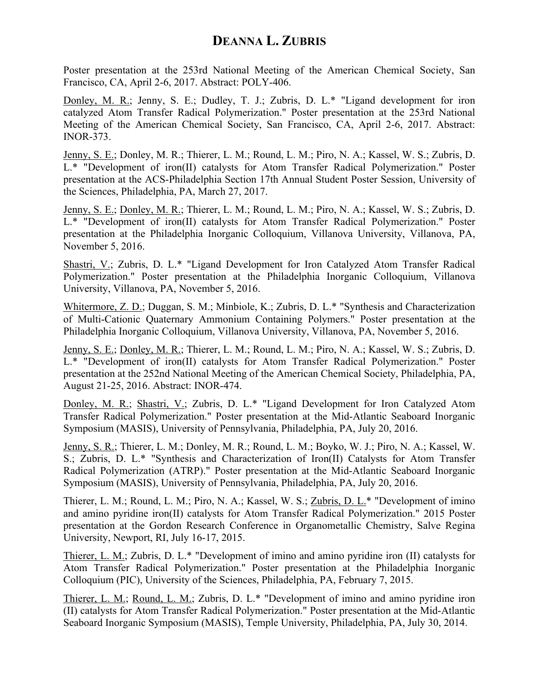Poster presentation at the 253rd National Meeting of the American Chemical Society, San Francisco, CA, April 2-6, 2017. Abstract: POLY-406.

Donley, M. R.; Jenny, S. E.; Dudley, T. J.; Zubris, D. L.\* "Ligand development for iron catalyzed Atom Transfer Radical Polymerization." Poster presentation at the 253rd National Meeting of the American Chemical Society, San Francisco, CA, April 2-6, 2017. Abstract: INOR-373.

Jenny, S. E.; Donley, M. R.; Thierer, L. M.; Round, L. M.; Piro, N. A.; Kassel, W. S.; Zubris, D. L.\* "Development of iron(II) catalysts for Atom Transfer Radical Polymerization." Poster presentation at the ACS-Philadelphia Section 17th Annual Student Poster Session, University of the Sciences, Philadelphia, PA, March 27, 2017.

Jenny, S. E.; Donley, M. R.; Thierer, L. M.; Round, L. M.; Piro, N. A.; Kassel, W. S.; Zubris, D. L.\* "Development of iron(II) catalysts for Atom Transfer Radical Polymerization." Poster presentation at the Philadelphia Inorganic Colloquium, Villanova University, Villanova, PA, November 5, 2016.

Shastri, V.; Zubris, D. L.\* "Ligand Development for Iron Catalyzed Atom Transfer Radical Polymerization." Poster presentation at the Philadelphia Inorganic Colloquium, Villanova University, Villanova, PA, November 5, 2016.

Whitermore, Z. D.; Duggan, S. M.; Minbiole, K.; Zubris, D. L.\* "Synthesis and Characterization of Multi-Cationic Quaternary Ammonium Containing Polymers." Poster presentation at the Philadelphia Inorganic Colloquium, Villanova University, Villanova, PA, November 5, 2016.

Jenny, S. E.; Donley, M. R.; Thierer, L. M.; Round, L. M.; Piro, N. A.; Kassel, W. S.; Zubris, D. L.\* "Development of iron(II) catalysts for Atom Transfer Radical Polymerization." Poster presentation at the 252nd National Meeting of the American Chemical Society, Philadelphia, PA, August 21-25, 2016. Abstract: INOR-474.

Donley, M. R.; Shastri, V.; Zubris, D. L.\* "Ligand Development for Iron Catalyzed Atom Transfer Radical Polymerization." Poster presentation at the Mid-Atlantic Seaboard Inorganic Symposium (MASIS), University of Pennsylvania, Philadelphia, PA, July 20, 2016.

Jenny, S. R.; Thierer, L. M.; Donley, M. R.; Round, L. M.; Boyko, W. J.; Piro, N. A.; Kassel, W. S.; Zubris, D. L.\* "Synthesis and Characterization of Iron(II) Catalysts for Atom Transfer Radical Polymerization (ATRP)." Poster presentation at the Mid-Atlantic Seaboard Inorganic Symposium (MASIS), University of Pennsylvania, Philadelphia, PA, July 20, 2016.

Thierer, L. M.; Round, L. M.; Piro, N. A.; Kassel, W. S.; Zubris, D. L.\* "Development of imino and amino pyridine iron(II) catalysts for Atom Transfer Radical Polymerization." 2015 Poster presentation at the Gordon Research Conference in Organometallic Chemistry, Salve Regina University, Newport, RI, July 16-17, 2015.

Thierer, L. M.; Zubris, D. L.\* "Development of imino and amino pyridine iron (II) catalysts for Atom Transfer Radical Polymerization." Poster presentation at the Philadelphia Inorganic Colloquium (PIC), University of the Sciences, Philadelphia, PA, February 7, 2015.

Thierer, L. M.; Round, L. M.; Zubris, D. L.\* "Development of imino and amino pyridine iron (II) catalysts for Atom Transfer Radical Polymerization." Poster presentation at the Mid-Atlantic Seaboard Inorganic Symposium (MASIS), Temple University, Philadelphia, PA, July 30, 2014.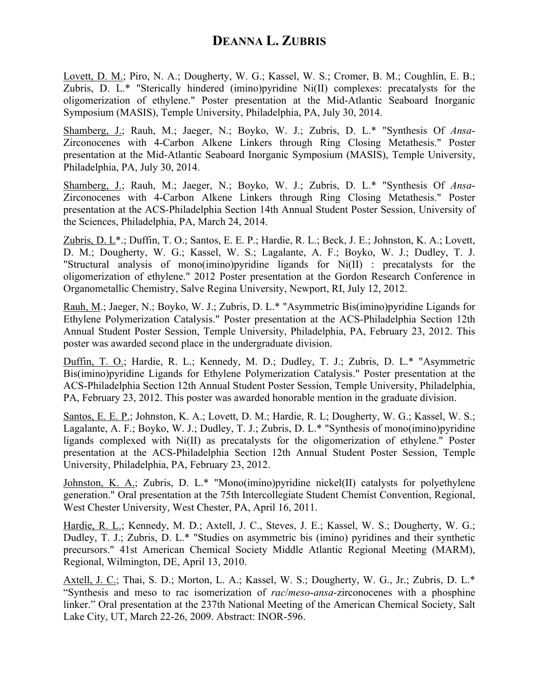Lovett, D. M.; Piro, N. A.; Dougherty, W. G.; Kassel, W. S.; Cromer, B. M.; Coughlin, E. B.; Zubris, D. L.\* "Sterically hindered (imino)pyridine Ni(II) complexes: precatalysts for the oligomerization of ethylene." Poster presentation at the Mid-Atlantic Seaboard Inorganic Symposium (MASIS), Temple University, Philadelphia, PA, July 30, 2014.

Shamberg, J.; Rauh, M.; Jaeger, N.; Boyko, W. J.; Zubris, D. L.\* "Synthesis Of *Ansa*-Zirconocenes with 4-Carbon Alkene Linkers through Ring Closing Metathesis." Poster presentation at the Mid-Atlantic Seaboard Inorganic Symposium (MASIS), Temple University, Philadelphia, PA, July 30, 2014.

Shamberg, J.; Rauh, M.; Jaeger, N.; Boyko, W. J.; Zubris, D. L.\* "Synthesis Of *Ansa*-Zirconocenes with 4-Carbon Alkene Linkers through Ring Closing Metathesis." Poster presentation at the ACS-Philadelphia Section 14th Annual Student Poster Session, University of the Sciences, Philadelphia, PA, March 24, 2014.

Zubris, D. L\*.; Duffin, T. O.; Santos, E. E. P.; Hardie, R. L.; Beck, J. E.; Johnston, K. A.; Lovett, D. M.; Dougherty, W. G.; Kassel, W. S.; Lagalante, A. F.; Boyko, W. J.; Dudley, T. J. "Structural analysis of mono(imino)pyridine ligands for Ni(II) : precatalysts for the oligomerization of ethylene." 2012 Poster presentation at the Gordon Research Conference in Organometallic Chemistry, Salve Regina University, Newport, RI, July 12, 2012.

Rauh, M.; Jaeger, N.; Boyko, W. J.; Zubris, D. L.\* "Asymmetric Bis(imino)pyridine Ligands for Ethylene Polymerization Catalysis." Poster presentation at the ACS-Philadelphia Section 12th Annual Student Poster Session, Temple University, Philadelphia, PA, February 23, 2012. This poster was awarded second place in the undergraduate division.

Duffin, T. O.; Hardie, R. L.; Kennedy, M. D.; Dudley, T. J.; Zubris, D. L.\* "Asymmetric Bis(imino)pyridine Ligands for Ethylene Polymerization Catalysis." Poster presentation at the ACS-Philadelphia Section 12th Annual Student Poster Session, Temple University, Philadelphia, PA, February 23, 2012. This poster was awarded honorable mention in the graduate division.

Santos, E. E. P.; Johnston, K. A.; Lovett, D. M.; Hardie, R. L; Dougherty, W. G.; Kassel, W. S.; Lagalante, A. F.; Boyko, W. J.; Dudley, T. J.; Zubris, D. L.\* "Synthesis of mono(imino)pyridine ligands complexed with Ni(II) as precatalysts for the oligomerization of ethylene." Poster presentation at the ACS-Philadelphia Section 12th Annual Student Poster Session, Temple University, Philadelphia, PA, February 23, 2012.

Johnston, K. A.; Zubris, D. L.\* "Mono(imino)pyridine nickel(II) catalysts for polyethylene generation." Oral presentation at the 75th Intercollegiate Student Chemist Convention, Regional, West Chester University, West Chester, PA, April 16, 2011.

Hardie, R. L.; Kennedy, M. D.; Axtell, J. C., Steves, J. E.; Kassel, W. S.; Dougherty, W. G.; Dudley, T. J.; Zubris, D. L.\* "Studies on asymmetric bis (imino) pyridines and their synthetic precursors." 41st American Chemical Society Middle Atlantic Regional Meeting (MARM), Regional, Wilmington, DE, April 13, 2010.

Axtell, J. C.; Thai, S. D.; Morton, L. A.; Kassel, W. S.; Dougherty, W. G., Jr.; Zubris, D. L.\* "Synthesis and meso to rac isomerization of *rac*/*meso*-*ansa*-zirconocenes with a phosphine linker." Oral presentation at the 237th National Meeting of the American Chemical Society, Salt Lake City, UT, March 22-26, 2009. Abstract: INOR-596.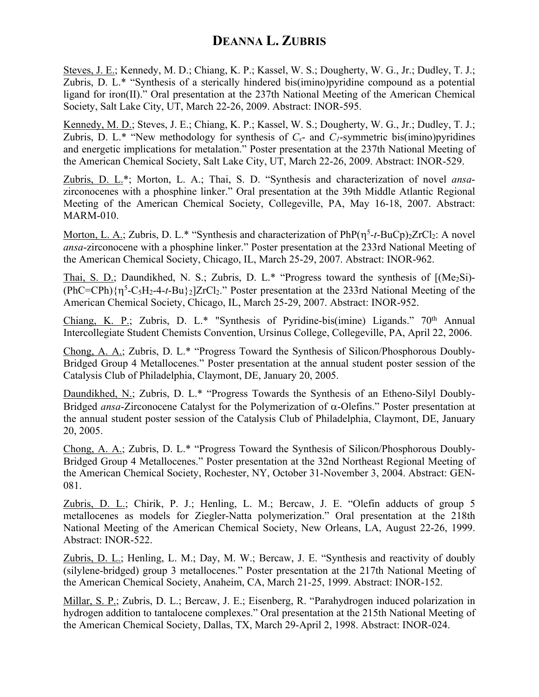Steves, J. E.; Kennedy, M. D.; Chiang, K. P.; Kassel, W. S.; Dougherty, W. G., Jr.; Dudley, T. J.; Zubris, D. L.\* "Synthesis of a sterically hindered bis(imino)pyridine compound as a potential ligand for iron(II)." Oral presentation at the 237th National Meeting of the American Chemical Society, Salt Lake City, UT, March 22-26, 2009. Abstract: INOR-595.

Kennedy, M. D.; Steves, J. E.; Chiang, K. P.; Kassel, W. S.; Dougherty, W. G., Jr.; Dudley, T. J.; Zubris, D. L.\* "New methodology for synthesis of  $C_s$ - and  $C_l$ -symmetric bis(imino)pyridines and energetic implications for metalation." Poster presentation at the 237th National Meeting of the American Chemical Society, Salt Lake City, UT, March 22-26, 2009. Abstract: INOR-529.

Zubris, D. L.\*; Morton, L. A.; Thai, S. D. "Synthesis and characterization of novel *ansa*zirconocenes with a phosphine linker." Oral presentation at the 39th Middle Atlantic Regional Meeting of the American Chemical Society, Collegeville, PA, May 16-18, 2007. Abstract: MARM-010.

Morton, L. A.; Zubris, D. L.\* "Synthesis and characterization of PhP( $\eta^5$ -*t*-BuCp)<sub>2</sub>ZrCl<sub>2</sub>: A novel *ansa*-zirconocene with a phosphine linker." Poster presentation at the 233rd National Meeting of the American Chemical Society, Chicago, IL, March 25-29, 2007. Abstract: INOR-962.

Thai, S. D.; Daundikhed, N. S.; Zubris, D. L.\* "Progress toward the synthesis of  $[(Me<sub>2</sub>Si)$ - $(PhC=CPh){\eta^5-C_5H_2-4-t-Bu}_{2}]ZrCl_2$ ." Poster presentation at the 233rd National Meeting of the American Chemical Society, Chicago, IL, March 25-29, 2007. Abstract: INOR-952.

Chiang, K. P.; Zubris, D. L.\* "Synthesis of Pyridine-bis(imine) Ligands."  $70<sup>th</sup>$  Annual Intercollegiate Student Chemists Convention, Ursinus College, Collegeville, PA, April 22, 2006.

Chong, A. A.; Zubris, D. L.\* "Progress Toward the Synthesis of Silicon/Phosphorous Doubly-Bridged Group 4 Metallocenes." Poster presentation at the annual student poster session of the Catalysis Club of Philadelphia, Claymont, DE, January 20, 2005.

Daundikhed, N.; Zubris, D. L.\* "Progress Towards the Synthesis of an Etheno-Silyl Doubly-Bridged *ansa*-Zirconocene Catalyst for the Polymerization of a-Olefins." Poster presentation at the annual student poster session of the Catalysis Club of Philadelphia, Claymont, DE, January 20, 2005.

Chong, A. A.; Zubris, D. L.\* "Progress Toward the Synthesis of Silicon/Phosphorous Doubly-Bridged Group 4 Metallocenes." Poster presentation at the 32nd Northeast Regional Meeting of the American Chemical Society, Rochester, NY, October 31-November 3, 2004. Abstract: GEN-081.

Zubris, D. L.; Chirik, P. J.; Henling, L. M.; Bercaw, J. E. "Olefin adducts of group 5 metallocenes as models for Ziegler-Natta polymerization." Oral presentation at the 218th National Meeting of the American Chemical Society, New Orleans, LA, August 22-26, 1999. Abstract: INOR-522.

Zubris, D. L.; Henling, L. M.; Day, M. W.; Bercaw, J. E. "Synthesis and reactivity of doubly (silylene-bridged) group 3 metallocenes." Poster presentation at the 217th National Meeting of the American Chemical Society, Anaheim, CA, March 21-25, 1999. Abstract: INOR-152.

Millar, S. P.; Zubris, D. L.; Bercaw, J. E.; Eisenberg, R. "Parahydrogen induced polarization in hydrogen addition to tantalocene complexes." Oral presentation at the 215th National Meeting of the American Chemical Society, Dallas, TX, March 29-April 2, 1998. Abstract: INOR-024.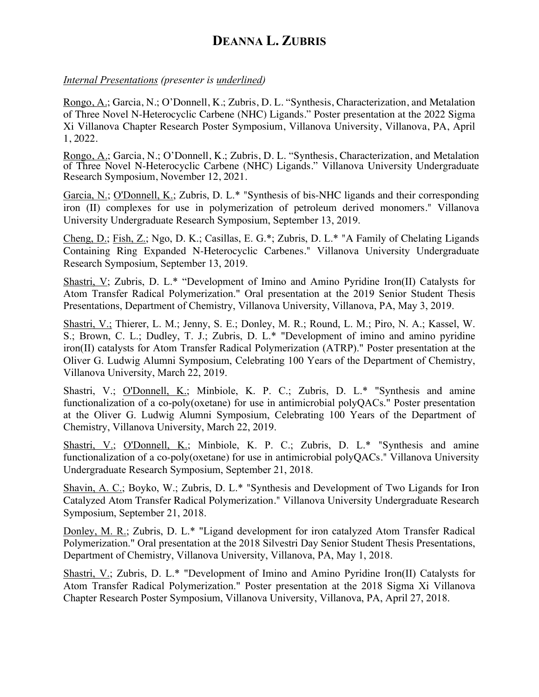### *Internal Presentations (presenter is underlined)*

Rongo, A.; Garcia, N.; O'Donnell, K.; Zubris, D. L. "Synthesis, Characterization, and Metalation of Three Novel N-Heterocyclic Carbene (NHC) Ligands." Poster presentation at the 2022 Sigma Xi Villanova Chapter Research Poster Symposium, Villanova University, Villanova, PA, April 1, 2022.

Rongo, A.; Garcia, N.; O'Donnell, K.; Zubris, D. L. "Synthesis, Characterization, and Metalation of Three Novel N-Heterocyclic Carbene (NHC) Ligands." Villanova University Undergraduate Research Symposium, November 12, 2021.

Garcia, N.; O'Donnell, K.; Zubris, D. L.\* "Synthesis of bis-NHC ligands and their corresponding iron (II) complexes for use in polymerization of petroleum derived monomers." Villanova University Undergraduate Research Symposium, September 13, 2019.

Cheng, D.; Fish, Z.; Ngo, D. K.; Casillas, E. G.\*; Zubris, D. L.\* "A Family of Chelating Ligands Containing Ring Expanded N-Heterocyclic Carbenes." Villanova University Undergraduate Research Symposium, September 13, 2019.

Shastri, V; Zubris, D. L.\* "Development of Imino and Amino Pyridine Iron(II) Catalysts for Atom Transfer Radical Polymerization." Oral presentation at the 2019 Senior Student Thesis Presentations, Department of Chemistry, Villanova University, Villanova, PA, May 3, 2019.

Shastri, V.; Thierer, L. M.; Jenny, S. E.; Donley, M. R.; Round, L. M.; Piro, N. A.; Kassel, W. S.; Brown, C. L.; Dudley, T. J.; Zubris, D. L.\* "Development of imino and amino pyridine iron(II) catalysts for Atom Transfer Radical Polymerization (ATRP)." Poster presentation at the Oliver G. Ludwig Alumni Symposium, Celebrating 100 Years of the Department of Chemistry, Villanova University, March 22, 2019.

Shastri, V.; O'Donnell, K.; Minbiole, K. P. C.; Zubris, D. L.\* "Synthesis and amine functionalization of a co-poly(oxetane) for use in antimicrobial polyQACs." Poster presentation at the Oliver G. Ludwig Alumni Symposium, Celebrating 100 Years of the Department of Chemistry, Villanova University, March 22, 2019.

Shastri, V.; O'Donnell, K.; Minbiole, K. P. C.; Zubris, D. L.\* "Synthesis and amine functionalization of a co-poly(oxetane) for use in antimicrobial polyQACs." Villanova University Undergraduate Research Symposium, September 21, 2018.

Shavin, A. C.; Boyko, W.; Zubris, D. L.\* "Synthesis and Development of Two Ligands for Iron Catalyzed Atom Transfer Radical Polymerization." Villanova University Undergraduate Research Symposium, September 21, 2018.

Donley, M. R.; Zubris, D. L.\* "Ligand development for iron catalyzed Atom Transfer Radical Polymerization." Oral presentation at the 2018 Silvestri Day Senior Student Thesis Presentations, Department of Chemistry, Villanova University, Villanova, PA, May 1, 2018.

Shastri, V.; Zubris, D. L.\* "Development of Imino and Amino Pyridine Iron(II) Catalysts for Atom Transfer Radical Polymerization." Poster presentation at the 2018 Sigma Xi Villanova Chapter Research Poster Symposium, Villanova University, Villanova, PA, April 27, 2018.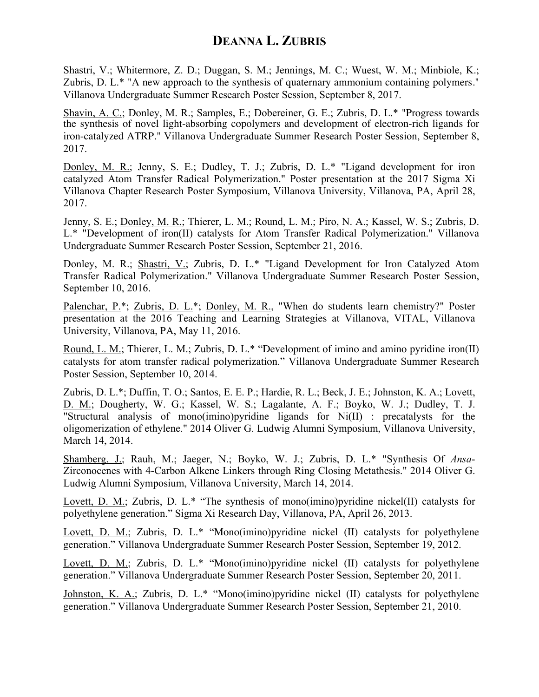Shastri, V.; Whitermore, Z. D.; Duggan, S. M.; Jennings, M. C.; Wuest, W. M.; Minbiole, K.; Zubris, D. L.\* "A new approach to the synthesis of quaternary ammonium containing polymers." Villanova Undergraduate Summer Research Poster Session, September 8, 2017.

Shavin, A. C.; Donley, M. R.; Samples, E.; Dobereiner, G. E.; Zubris, D. L.\* "Progress towards the synthesis of novel light-absorbing copolymers and development of electron-rich ligands for iron-catalyzed ATRP." Villanova Undergraduate Summer Research Poster Session, September 8, 2017.

Donley, M. R.; Jenny, S. E.; Dudley, T. J.; Zubris, D. L.\* "Ligand development for iron catalyzed Atom Transfer Radical Polymerization." Poster presentation at the 2017 Sigma Xi Villanova Chapter Research Poster Symposium, Villanova University, Villanova, PA, April 28, 2017.

Jenny, S. E.; Donley, M. R.; Thierer, L. M.; Round, L. M.; Piro, N. A.; Kassel, W. S.; Zubris, D. L.\* "Development of iron(II) catalysts for Atom Transfer Radical Polymerization." Villanova Undergraduate Summer Research Poster Session, September 21, 2016.

Donley, M. R.; Shastri, V.; Zubris, D. L.\* "Ligand Development for Iron Catalyzed Atom Transfer Radical Polymerization." Villanova Undergraduate Summer Research Poster Session, September 10, 2016.

Palenchar, P.\*; Zubris, D. L.\*; Donley, M. R., "When do students learn chemistry?" Poster presentation at the 2016 Teaching and Learning Strategies at Villanova, VITAL, Villanova University, Villanova, PA, May 11, 2016.

Round, L. M.; Thierer, L. M.; Zubris, D. L.\* "Development of imino and amino pyridine iron(II) catalysts for atom transfer radical polymerization." Villanova Undergraduate Summer Research Poster Session, September 10, 2014.

Zubris, D. L.\*; Duffin, T. O.; Santos, E. E. P.; Hardie, R. L.; Beck, J. E.; Johnston, K. A.; Lovett, D. M.; Dougherty, W. G.; Kassel, W. S.; Lagalante, A. F.; Boyko, W. J.; Dudley, T. J. "Structural analysis of mono(imino)pyridine ligands for Ni(II) : precatalysts for the oligomerization of ethylene." 2014 Oliver G. Ludwig Alumni Symposium, Villanova University, March 14, 2014.

Shamberg, J.; Rauh, M.; Jaeger, N.; Boyko, W. J.; Zubris, D. L.\* "Synthesis Of *Ansa*-Zirconocenes with 4-Carbon Alkene Linkers through Ring Closing Metathesis." 2014 Oliver G. Ludwig Alumni Symposium, Villanova University, March 14, 2014.

Lovett, D. M.; Zubris, D. L.\* "The synthesis of mono(imino)pyridine nickel(II) catalysts for polyethylene generation." Sigma Xi Research Day, Villanova, PA, April 26, 2013.

Lovett, D. M.; Zubris, D. L.\* "Mono(imino)pyridine nickel (II) catalysts for polyethylene generation." Villanova Undergraduate Summer Research Poster Session, September 19, 2012.

Lovett, D. M.; Zubris, D. L.\* "Mono(imino)pyridine nickel (II) catalysts for polyethylene generation." Villanova Undergraduate Summer Research Poster Session, September 20, 2011.

Johnston, K. A.; Zubris, D. L.\* "Mono(imino)pyridine nickel (II) catalysts for polyethylene generation." Villanova Undergraduate Summer Research Poster Session, September 21, 2010.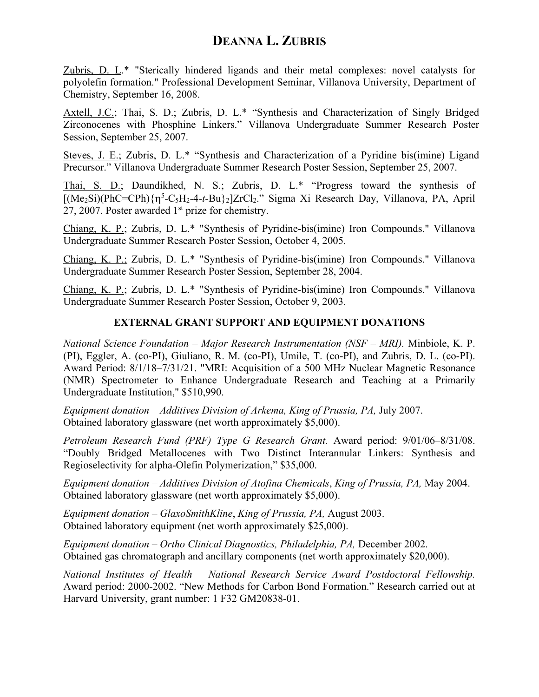Zubris, D. L.\* "Sterically hindered ligands and their metal complexes: novel catalysts for polyolefin formation." Professional Development Seminar, Villanova University, Department of Chemistry, September 16, 2008.

Axtell, J.C.; Thai, S. D.; Zubris, D. L.\* "Synthesis and Characterization of Singly Bridged Zirconocenes with Phosphine Linkers." Villanova Undergraduate Summer Research Poster Session, September 25, 2007.

Steves, J. E.; Zubris, D. L.\* "Synthesis and Characterization of a Pyridine bis(imine) Ligand Precursor." Villanova Undergraduate Summer Research Poster Session, September 25, 2007.

Thai, S. D.; Daundikhed, N. S.; Zubris, D. L.\* "Progress toward the synthesis of [(Me2Si)(PhC=CPh){h<sup>5</sup> -C5H2-4-*t*-Bu}2]ZrCl2." Sigma Xi Research Day, Villanova, PA, April 27, 2007. Poster awarded  $1<sup>st</sup>$  prize for chemistry.

Chiang, K. P.; Zubris, D. L.\* "Synthesis of Pyridine-bis(imine) Iron Compounds." Villanova Undergraduate Summer Research Poster Session, October 4, 2005.

Chiang, K. P.; Zubris, D. L.\* "Synthesis of Pyridine-bis(imine) Iron Compounds." Villanova Undergraduate Summer Research Poster Session, September 28, 2004.

Chiang, K. P.; Zubris, D. L.\* "Synthesis of Pyridine-bis(imine) Iron Compounds." Villanova Undergraduate Summer Research Poster Session, October 9, 2003.

### **EXTERNAL GRANT SUPPORT AND EQUIPMENT DONATIONS**

*National Science Foundation – Major Research Instrumentation (NSF – MRI).* Minbiole, K. P. (PI), Eggler, A. (co-PI), Giuliano, R. M. (co-PI), Umile, T. (co-PI), and Zubris, D. L. (co-PI). Award Period: 8/1/18–7/31/21. "MRI: Acquisition of a 500 MHz Nuclear Magnetic Resonance (NMR) Spectrometer to Enhance Undergraduate Research and Teaching at a Primarily Undergraduate Institution," \$510,990.

*Equipment donation – Additives Division of Arkema, King of Prussia, PA,* July 2007. Obtained laboratory glassware (net worth approximately \$5,000).

*Petroleum Research Fund (PRF) Type G Research Grant.* Award period: 9/01/06–8/31/08. "Doubly Bridged Metallocenes with Two Distinct Interannular Linkers: Synthesis and Regioselectivity for alpha-Olefin Polymerization," \$35,000.

*Equipment donation – Additives Division of Atofina Chemicals*, *King of Prussia, PA,* May 2004. Obtained laboratory glassware (net worth approximately \$5,000).

*Equipment donation – GlaxoSmithKline*, *King of Prussia, PA,* August 2003. Obtained laboratory equipment (net worth approximately \$25,000).

*Equipment donation – Ortho Clinical Diagnostics, Philadelphia, PA,* December 2002. Obtained gas chromatograph and ancillary components (net worth approximately \$20,000).

*National Institutes of Health – National Research Service Award Postdoctoral Fellowship.* Award period: 2000-2002. "New Methods for Carbon Bond Formation." Research carried out at Harvard University, grant number: 1 F32 GM20838-01.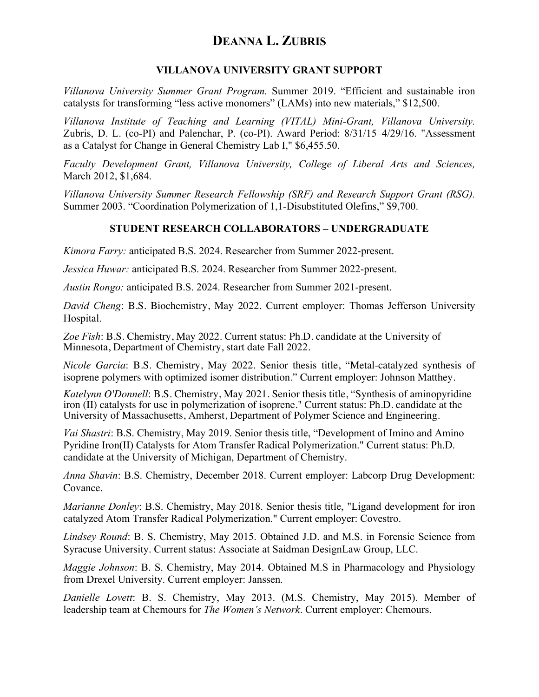### **VILLANOVA UNIVERSITY GRANT SUPPORT**

*Villanova University Summer Grant Program.* Summer 2019. "Efficient and sustainable iron catalysts for transforming "less active monomers" (LAMs) into new materials," \$12,500.

*Villanova Institute of Teaching and Learning (VITAL) Mini-Grant, Villanova University.*  Zubris, D. L. (co-PI) and Palenchar, P. (co-PI). Award Period: 8/31/15–4/29/16. "Assessment as a Catalyst for Change in General Chemistry Lab I," \$6,455.50.

*Faculty Development Grant, Villanova University, College of Liberal Arts and Sciences,*  March 2012, \$1,684.

*Villanova University Summer Research Fellowship (SRF) and Research Support Grant (RSG).* Summer 2003. "Coordination Polymerization of 1,1-Disubstituted Olefins," \$9,700.

### **STUDENT RESEARCH COLLABORATORS – UNDERGRADUATE**

*Kimora Farry:* anticipated B.S. 2024. Researcher from Summer 2022-present.

*Jessica Huwar:* anticipated B.S. 2024. Researcher from Summer 2022-present.

*Austin Rongo:* anticipated B.S. 2024. Researcher from Summer 2021-present.

*David Cheng*: B.S. Biochemistry, May 2022. Current employer: Thomas Jefferson University Hospital.

*Zoe Fish*: B.S. Chemistry, May 2022. Current status: Ph.D. candidate at the University of Minnesota, Department of Chemistry, start date Fall 2022.

*Nicole Garcia*: B.S. Chemistry, May 2022. Senior thesis title, "Metal-catalyzed synthesis of isoprene polymers with optimized isomer distribution." Current employer: Johnson Matthey.

*Katelynn O'Donnell*: B.S. Chemistry, May 2021. Senior thesis title, "Synthesis of aminopyridine iron (II) catalysts for use in polymerization of isoprene." Current status: Ph.D. candidate at the University of Massachusetts, Amherst, Department of Polymer Science and Engineering.

*Vai Shastri*: B.S. Chemistry, May 2019. Senior thesis title, "Development of Imino and Amino Pyridine Iron(II) Catalysts for Atom Transfer Radical Polymerization." Current status: Ph.D. candidate at the University of Michigan, Department of Chemistry.

*Anna Shavin*: B.S. Chemistry, December 2018. Current employer: Labcorp Drug Development: Covance.

*Marianne Donley*: B.S. Chemistry, May 2018. Senior thesis title, "Ligand development for iron catalyzed Atom Transfer Radical Polymerization." Current employer: Covestro.

*Lindsey Round*: B. S. Chemistry, May 2015. Obtained J.D. and M.S. in Forensic Science from Syracuse University. Current status: Associate at Saidman DesignLaw Group, LLC.

*Maggie Johnson*: B. S. Chemistry, May 2014. Obtained M.S in Pharmacology and Physiology from Drexel University. Current employer: Janssen.

*Danielle Lovett*: B. S. Chemistry, May 2013. (M.S. Chemistry, May 2015). Member of leadership team at Chemours for *The Women's Network*. Current employer: Chemours.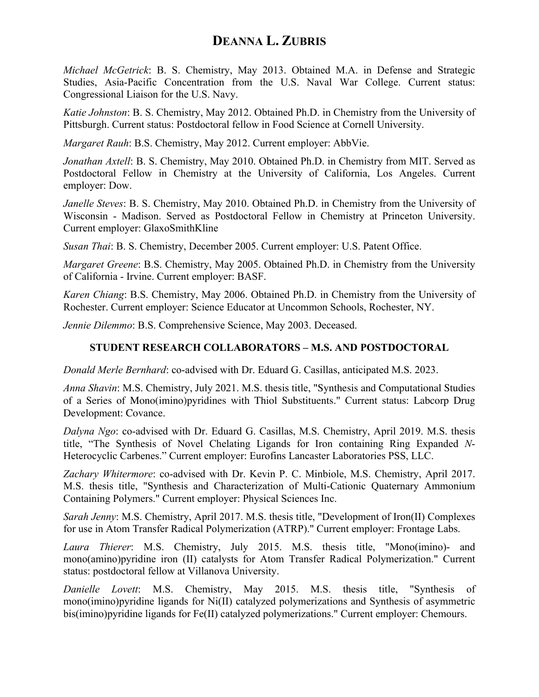*Michael McGetrick*: B. S. Chemistry, May 2013. Obtained M.A. in Defense and Strategic Studies, Asia-Pacific Concentration from the U.S. Naval War College. Current status: Congressional Liaison for the U.S. Navy.

*Katie Johnston*: B. S. Chemistry, May 2012. Obtained Ph.D. in Chemistry from the University of Pittsburgh. Current status: Postdoctoral fellow in Food Science at Cornell University.

*Margaret Rauh*: B.S. Chemistry, May 2012. Current employer: AbbVie.

*Jonathan Axtell*: B. S. Chemistry, May 2010. Obtained Ph.D. in Chemistry from MIT. Served as Postdoctoral Fellow in Chemistry at the University of California, Los Angeles. Current employer: Dow.

*Janelle Steves*: B. S. Chemistry, May 2010. Obtained Ph.D. in Chemistry from the University of Wisconsin - Madison. Served as Postdoctoral Fellow in Chemistry at Princeton University. Current employer: GlaxoSmithKline

*Susan Thai*: B. S. Chemistry, December 2005. Current employer: U.S. Patent Office.

*Margaret Greene*: B.S. Chemistry, May 2005. Obtained Ph.D. in Chemistry from the University of California - Irvine. Current employer: BASF.

*Karen Chiang*: B.S. Chemistry, May 2006. Obtained Ph.D. in Chemistry from the University of Rochester. Current employer: Science Educator at Uncommon Schools, Rochester, NY.

*Jennie Dilemmo*: B.S. Comprehensive Science, May 2003. Deceased.

### **STUDENT RESEARCH COLLABORATORS – M.S. AND POSTDOCTORAL**

*Donald Merle Bernhard*: co-advised with Dr. Eduard G. Casillas, anticipated M.S. 2023.

*Anna Shavin*: M.S. Chemistry, July 2021. M.S. thesis title, "Synthesis and Computational Studies of a Series of Mono(imino)pyridines with Thiol Substituents." Current status: Labcorp Drug Development: Covance.

*Dalyna Ngo*: co-advised with Dr. Eduard G. Casillas, M.S. Chemistry, April 2019. M.S. thesis title, "The Synthesis of Novel Chelating Ligands for Iron containing Ring Expanded *N*-Heterocyclic Carbenes." Current employer: Eurofins Lancaster Laboratories PSS, LLC.

*Zachary Whitermore*: co-advised with Dr. Kevin P. C. Minbiole, M.S. Chemistry, April 2017. M.S. thesis title, "Synthesis and Characterization of Multi-Cationic Quaternary Ammonium Containing Polymers." Current employer: Physical Sciences Inc.

*Sarah Jenny*: M.S. Chemistry, April 2017. M.S. thesis title, "Development of Iron(II) Complexes for use in Atom Transfer Radical Polymerization (ATRP)." Current employer: Frontage Labs.

*Laura Thierer*: M.S. Chemistry, July 2015. M.S. thesis title, "Mono(imino)- and mono(amino)pyridine iron (II) catalysts for Atom Transfer Radical Polymerization." Current status: postdoctoral fellow at Villanova University.

*Danielle Lovett*: M.S. Chemistry, May 2015. M.S. thesis title, "Synthesis of mono(imino)pyridine ligands for Ni(II) catalyzed polymerizations and Synthesis of asymmetric bis(imino)pyridine ligands for Fe(II) catalyzed polymerizations." Current employer: Chemours.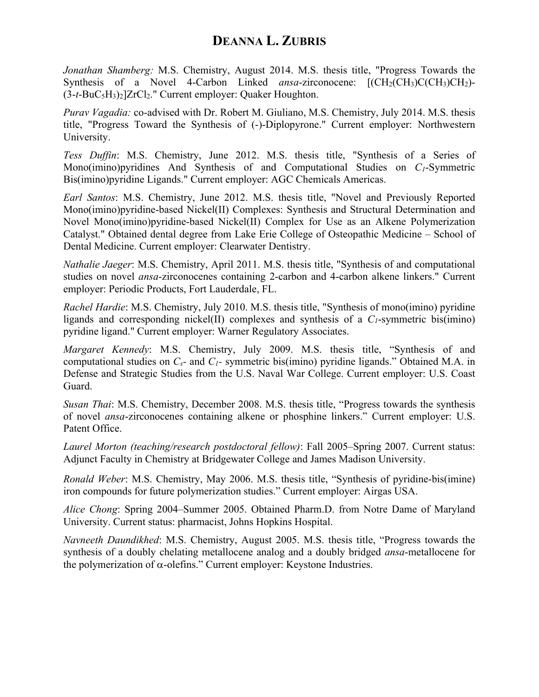*Jonathan Shamberg:* M.S. Chemistry, August 2014. M.S. thesis title, "Progress Towards the Synthesis of a Novel 4-Carbon Linked *ansa*-zirconocene:  $[(CH_2(CH_3)C(H_2)CH_2)$ -(3-*t*-BuC5H3)2]ZrCl2." Current employer: Quaker Houghton.

*Purav Vagadia:* co-advised with Dr. Robert M. Giuliano, M.S. Chemistry, July 2014. M.S. thesis title, "Progress Toward the Synthesis of (-)-Diplopyrone." Current employer: Northwestern University.

*Tess Duffin*: M.S. Chemistry, June 2012. M.S. thesis title, "Synthesis of a Series of Mono(imino)pyridines And Synthesis of and Computational Studies on *C1*-Symmetric Bis(imino)pyridine Ligands." Current employer: AGC Chemicals Americas.

*Earl Santos*: M.S. Chemistry, June 2012. M.S. thesis title, "Novel and Previously Reported Mono(imino)pyridine-based Nickel(II) Complexes: Synthesis and Structural Determination and Novel Mono(imino)pyridine-based Nickel(II) Complex for Use as an Alkene Polymerization Catalyst." Obtained dental degree from Lake Erie College of Osteopathic Medicine – School of Dental Medicine. Current employer: Clearwater Dentistry.

*Nathalie Jaeger*: M.S. Chemistry, April 2011. M.S. thesis title, "Synthesis of and computational studies on novel *ansa*-zirconocenes containing 2-carbon and 4-carbon alkene linkers." Current employer: Periodic Products, Fort Lauderdale, FL.

*Rachel Hardie*: M.S. Chemistry, July 2010. M.S. thesis title, "Synthesis of mono(imino) pyridine ligands and corresponding nickel(II) complexes and synthesis of a  $C_1$ -symmetric bis(imino) pyridine ligand." Current employer: Warner Regulatory Associates.

*Margaret Kennedy*: M.S. Chemistry, July 2009. M.S. thesis title, "Synthesis of and computational studies on *Cs-* and *C1-* symmetric bis(imino) pyridine ligands." Obtained M.A. in Defense and Strategic Studies from the U.S. Naval War College. Current employer: U.S. Coast Guard.

*Susan Thai*: M.S. Chemistry, December 2008. M.S. thesis title, "Progress towards the synthesis of novel *ansa*-zirconocenes containing alkene or phosphine linkers." Current employer: U.S. Patent Office.

*Laurel Morton (teaching/research postdoctoral fellow)*: Fall 2005–Spring 2007. Current status: Adjunct Faculty in Chemistry at Bridgewater College and James Madison University.

*Ronald Weber*: M.S. Chemistry, May 2006. M.S. thesis title, "Synthesis of pyridine-bis(imine) iron compounds for future polymerization studies." Current employer: Airgas USA.

*Alice Chong*: Spring 2004–Summer 2005. Obtained Pharm.D. from Notre Dame of Maryland University. Current status: pharmacist, Johns Hopkins Hospital.

*Navneeth Daundikhed*: M.S. Chemistry, August 2005. M.S. thesis title, "Progress towards the synthesis of a doubly chelating metallocene analog and a doubly bridged *ansa*-metallocene for the polymerization of  $\alpha$ -olefins." Current employer: Keystone Industries.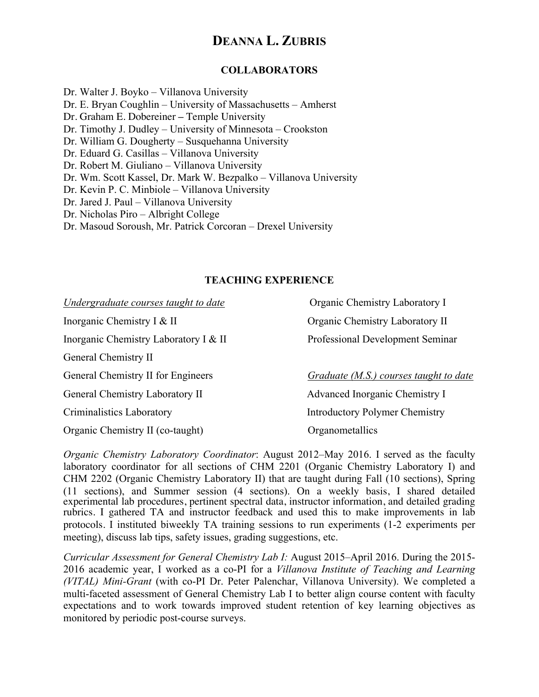### **COLLABORATORS**

Dr. Walter J. Boyko – Villanova University Dr. E. Bryan Coughlin – University of Massachusetts – Amherst Dr. Graham E. Dobereiner **–** Temple University Dr. Timothy J. Dudley – University of Minnesota – Crookston Dr. William G. Dougherty – Susquehanna University Dr. Eduard G. Casillas – Villanova University Dr. Robert M. Giuliano – Villanova University Dr. Wm. Scott Kassel, Dr. Mark W. Bezpalko – Villanova University Dr. Kevin P. C. Minbiole – Villanova University Dr. Jared J. Paul – Villanova University Dr. Nicholas Piro – Albright College Dr. Masoud Soroush, Mr. Patrick Corcoran – Drexel University

#### **TEACHING EXPERIENCE**

| Undergraduate courses taught to date  | Organic Chemistry Laboratory I         |
|---------------------------------------|----------------------------------------|
| Inorganic Chemistry I & II            | Organic Chemistry Laboratory II        |
| Inorganic Chemistry Laboratory I & II | Professional Development Seminar       |
| General Chemistry II                  |                                        |
| General Chemistry II for Engineers    | Graduate (M.S.) courses taught to date |
| General Chemistry Laboratory II       | Advanced Inorganic Chemistry I         |
| Criminalistics Laboratory             | <b>Introductory Polymer Chemistry</b>  |
| Organic Chemistry II (co-taught)      | Organometallics                        |

*Organic Chemistry Laboratory Coordinator*: August 2012–May 2016. I served as the faculty laboratory coordinator for all sections of CHM 2201 (Organic Chemistry Laboratory I) and CHM 2202 (Organic Chemistry Laboratory II) that are taught during Fall (10 sections), Spring (11 sections), and Summer session (4 sections). On a weekly basis, I shared detailed experimental lab procedures, pertinent spectral data, instructor information, and detailed grading rubrics. I gathered TA and instructor feedback and used this to make improvements in lab protocols. I instituted biweekly TA training sessions to run experiments (1-2 experiments per meeting), discuss lab tips, safety issues, grading suggestions, etc.

*Curricular Assessment for General Chemistry Lab I:* August 2015–April 2016. During the 2015- 2016 academic year, I worked as a co-PI for a *Villanova Institute of Teaching and Learning (VITAL) Mini-Grant* (with co-PI Dr. Peter Palenchar, Villanova University). We completed a multi-faceted assessment of General Chemistry Lab I to better align course content with faculty expectations and to work towards improved student retention of key learning objectives as monitored by periodic post-course surveys.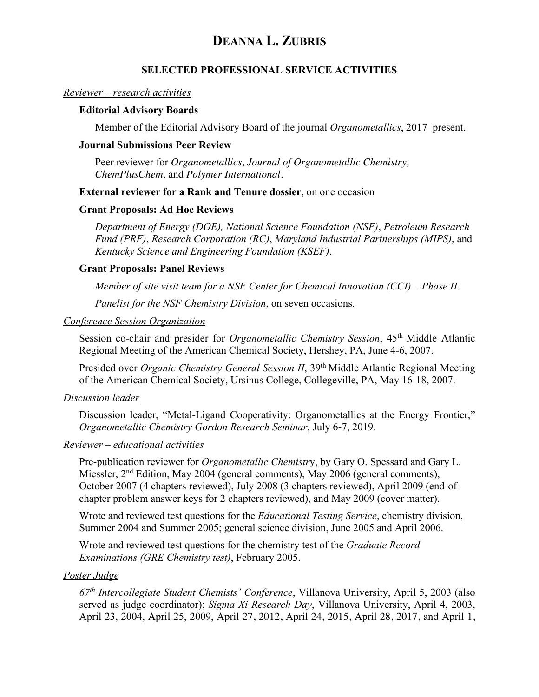### **SELECTED PROFESSIONAL SERVICE ACTIVITIES**

#### *Reviewer – research activities*

### **Editorial Advisory Boards**

Member of the Editorial Advisory Board of the journal *Organometallics*, 2017–present.

#### **Journal Submissions Peer Review**

Peer reviewer for *Organometallics, Journal of Organometallic Chemistry, ChemPlusChem,* and *Polymer International*.

#### **External reviewer for a Rank and Tenure dossier**, on one occasion

#### **Grant Proposals: Ad Hoc Reviews**

*Department of Energy (DOE), National Science Foundation (NSF)*, *Petroleum Research Fund (PRF)*, *Research Corporation (RC)*, *Maryland Industrial Partnerships (MIPS)*, and *Kentucky Science and Engineering Foundation (KSEF)*.

#### **Grant Proposals: Panel Reviews**

*Member of site visit team for a NSF Center for Chemical Innovation (CCI) – Phase II.*

*Panelist for the NSF Chemistry Division*, on seven occasions.

#### *Conference Session Organization*

Session co-chair and presider for *Organometallic Chemistry Session*, 45<sup>th</sup> Middle Atlantic Regional Meeting of the American Chemical Society, Hershey, PA, June 4-6, 2007.

Presided over *Organic Chemistry General Session II*, 39<sup>th</sup> Middle Atlantic Regional Meeting of the American Chemical Society, Ursinus College, Collegeville, PA, May 16-18, 2007.

#### *Discussion leader*

Discussion leader, "Metal-Ligand Cooperativity: Organometallics at the Energy Frontier," *Organometallic Chemistry Gordon Research Seminar*, July 6-7, 2019.

#### *Reviewer – educational activities*

Pre-publication reviewer for *Organometallic Chemistr*y, by Gary O. Spessard and Gary L. Miessler, 2<sup>nd</sup> Edition, May 2004 (general comments), May 2006 (general comments), October 2007 (4 chapters reviewed), July 2008 (3 chapters reviewed), April 2009 (end-ofchapter problem answer keys for 2 chapters reviewed), and May 2009 (cover matter).

Wrote and reviewed test questions for the *Educational Testing Service*, chemistry division, Summer 2004 and Summer 2005; general science division, June 2005 and April 2006.

Wrote and reviewed test questions for the chemistry test of the *Graduate Record Examinations (GRE Chemistry test)*, February 2005.

#### *Poster Judge*

*67th Intercollegiate Student Chemists' Conference*, Villanova University, April 5, 2003 (also served as judge coordinator); *Sigma Xi Research Day*, Villanova University, April 4, 2003, April 23, 2004, April 25, 2009, April 27, 2012, April 24, 2015, April 28, 2017, and April 1,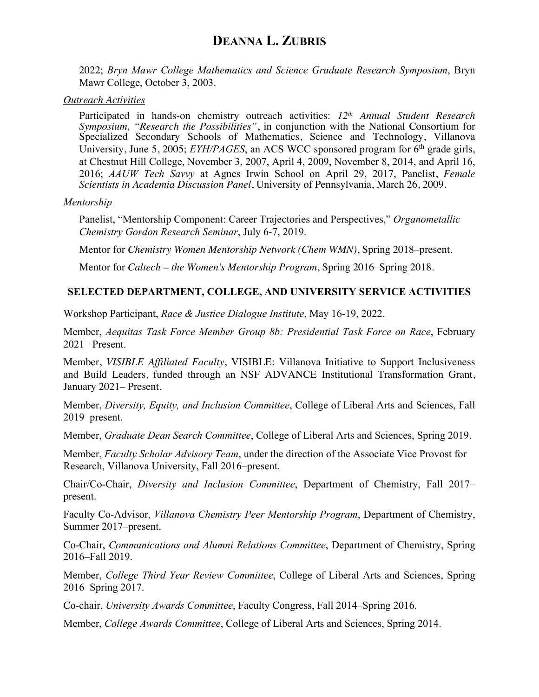2022; *Bryn Mawr College Mathematics and Science Graduate Research Symposium*, Bryn Mawr College, October 3, 2003.

### *Outreach Activities*

Participated in hands-on chemistry outreach activities: *12th Annual Student Research Symposium, "Research the Possibilities"*, in conjunction with the National Consortium for Specialized Secondary Schools of Mathematics, Science and Technology, Villanova University, June 5, 2005; *EYH/PAGES*, an ACS WCC sponsored program for 6<sup>th</sup> grade girls, at Chestnut Hill College, November 3, 2007, April 4, 2009, November 8, 2014, and April 16, 2016; *AAUW Tech Savvy* at Agnes Irwin School on April 29, 2017, Panelist, *Female Scientists in Academia Discussion Panel*, University of Pennsylvania, March 26, 2009.

### *Mentorship*

Panelist, "Mentorship Component: Career Trajectories and Perspectives," *Organometallic Chemistry Gordon Research Seminar*, July 6-7, 2019.

Mentor for *Chemistry Women Mentorship Network (Chem WMN)*, Spring 2018–present.

Mentor for *Caltech – the Women's Mentorship Program*, Spring 2016–Spring 2018.

## **SELECTED DEPARTMENT, COLLEGE, AND UNIVERSITY SERVICE ACTIVITIES**

Workshop Participant, *Race & Justice Dialogue Institute*, May 16-19, 2022.

Member, *Aequitas Task Force Member Group 8b: Presidential Task Force on Race*, February 2021– Present.

Member, *VISIBLE Affiliated Faculty*, VISIBLE: Villanova Initiative to Support Inclusiveness and Build Leaders, funded through an NSF ADVANCE Institutional Transformation Grant, January 2021– Present.

Member, *Diversity, Equity, and Inclusion Committee*, College of Liberal Arts and Sciences, Fall 2019–present.

Member, *Graduate Dean Search Committee*, College of Liberal Arts and Sciences, Spring 2019.

Member, *Faculty Scholar Advisory Team*, under the direction of the Associate Vice Provost for Research, Villanova University, Fall 2016–present.

Chair/Co-Chair, *Diversity and Inclusion Committee*, Department of Chemistry, Fall 2017– present.

Faculty Co-Advisor, *Villanova Chemistry Peer Mentorship Program*, Department of Chemistry, Summer 2017–present.

Co-Chair, *Communications and Alumni Relations Committee*, Department of Chemistry, Spring 2016–Fall 2019.

Member, *College Third Year Review Committee*, College of Liberal Arts and Sciences, Spring 2016–Spring 2017.

Co-chair, *University Awards Committee*, Faculty Congress, Fall 2014–Spring 2016.

Member, *College Awards Committee*, College of Liberal Arts and Sciences, Spring 2014.